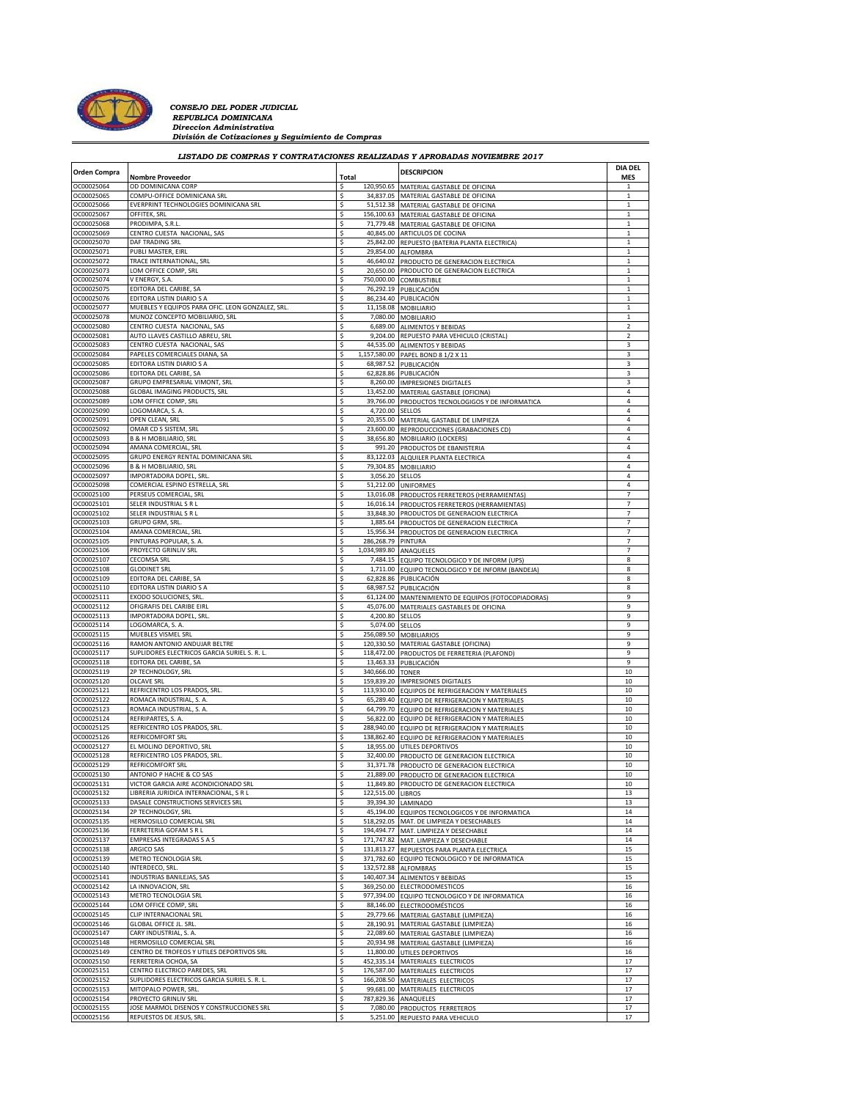

## *CONSEJO DEL PODER JUDICIAL REPUBLICA DOMINICANA Direccion Administrativa División de Cotizaciones y Seguimiento de Compras*

**Orden Compra Nombre Proveedor DIA DEL DESCRIPCION DESCRIPCION DESCRIPCION DESCRIPCION DESCRIPCION DESCRIPCION MES** OC00025064 OD DOMINICANA CORP<br>OC00025065 COMPLI-OFFICE DOMINICANA SRI SANTA 1999 SANTA 1999. A 120,950.65 MATERIAL GASTABLE DE OFICINA OC00025065 COMPU-OFFICE DOMINICANA SRL SALIS EN SUN SASST.OS MATERIAL GASTABLE DE OFICINA<br>2000025066 EVERPRINT TECHNOLOGIES DOMINICANA SRL SALIS SASSES SASSES MATERIAL GASTABLE DE OFICINA OC00025066 EVERPRINT TECHNOLOGIES DOMINICANA SRL \$ 51,512.38 MATERIAL GASTABLE DE OFICINA 1 OC00025067 OFFITEK, SRL \$ 156,100.63 MATERIAL GASTABLE DE OFICINA 1 OC00025068 PRODIMPA, S.R.L. \$ 71,779.48 MATERIAL GASTABLE DE OFICINA 1 OC00025069 CENTRO CUESTA NACIONAL, SAS \$ 40,845.00 ARTICULOS DE COCINA 1 OC00025070 DAF TRADING SRL \$ 25,842.00 REPUESTO (BATERIA PLANTA ELECTRICA) 1 29,854.00 ALFOMBRA OC00025072 TRACE INTERNATIONAL, SRL \$ 46,640.02 PRODUCTO DE GENERACION ELECTRICA 1 OC00025073 LOM OFFICE COMP, SRL \$ 20,650.00 PRODUCTO DE GENERACION ELECTRICA 1 OC00025074 V ENERGY, S.A. \$ 750,000.00 COMBUSTIBLE 1 OC00025075 EDITORA DEL CARIBE, SA  $\begin{array}{cc} 5 & 76,292.19 & \text{PUBILCAC1} \ 8 & 76,292.19 & \text{PUBILCAC1} \end{array}$ <br>OC00025076 EDITORA LISTIN DIARIO S A  $\begin{array}{cc} 5 & 86,234.40 & \text{PIRILCAC1} \end{array}$ EDITORA LISTIN DIARIO S A CONSENSE EN LA CONSENSA A EL SOCIEDAD EN LA CONSENSA A CONSENSA A EL SOCIEDAD EN LA CONSENSA A CONSENSA A CONSENSA A CONSENSA A CONSENSA A CONSENSA A CONSENSA A CONSENSA A CONSENSA A CONSENSA A CO OC00025077 MUEBLES Y EQUIPOS PARA OFIC. LEON GONZALEZ, SRL. \$ 11,158.08 MOBILIARIO 1 OC00025078 MUNOZ CONCEPTO MOBILIARIO, SR OC00025080 CENTRO CUESTA NACIONAL, SAS \$ 6,689.00 ALIMENTOS Y BEBIDAS 2 OC00025081 AUTO LLAVES CASTILLO ABREU, SRL **1990 AUTO ADECISION AD ALGUNO REPUESTO PARA VEHICULO (CRISTAL)** OC00025083 CENTRO CUESTA NACIONAL, SAS \$ 44,535.00 ALIMENTOS Y BEBIDAS 3 OC00025084 PAPELES COMERCIALES DIANA, SA 3 3 1,157,580.00 PAPEL BOND 8 1/2 X 11 OC00025085 EDITORA LISTIN DIARIO S A \$ 68,987.52 PUBLICACIÓN 3 EDITORA DEL CARIBE, SA \$ 62,828.86 PUBLICACIÓN \$ 62,828.86 PUBLICACIÓN \$ 63,828.86 PUBLICACIÓN \$ 5 (1989) }<br>GRUPO EMPRESIONES OC00025087 GRUPO EMPRESARIAL VIMONT, SRL \$ 8,260.00 IMPRESIONES DIGITALES 3 OC00025088 GLOBAL IMAGING PRODUCTS, SRL 5 13,452.00 MATERIAL GASTABLE (OFICINA) 4 13,452.00 MATERIAL GASTABLE (OFICINA) 4 13,452.00 MATERIAL GASTABLE (OFICINA) 4 13,452.00 MATERIAL GASTABLE (OFICINA) 4 13,452.00 MATERIAL G OC00025089 LOM OFFICE COMP, SRL \$ 39,766.00 PRODUCTOS TECNOLOGIGOS Y DE INFORMATICA 4 OC00025090 LOGOMARCA, S. A. 4,720.00 SELLOS 4,720.00 SELLOS 4 OC00025091 OPEN CLEAN, SRL \$ 20,355.00 MATERIAL GASTABLE DE LIMPIEZA 4 OC00025092 OMAR CD S SISTEM, SRL \$ 23,600.00 REPRODUCCIONES (GRABACIONES CD) 4 OC00025093 B & H MOBILIARIO, SRL \$ 38,656.80 MOBILIARIO (LOCKERS) 4 OC00025094 AMANA COMERCIAL, SRL \$ 991.20 PRODUCTOS DE EBANISTERIA 4 83,122.03 ALQUILER PLANTA ELECTRICA OC00025096 B & H MOBILIARIO, SRL \$ 79,304.85 MOBILIARIO 4 OC00025097 IMPORTADORA DOPEL, SRL. \$ 3,056.20 SELLOS 4 OC00025098 COMERCIAL ESPINO ESTRELLA, SRL \$ 51,212.00 UNIFORMES 4 OC00025100 PERSEUS COMERCIAL, SRL \$ 13,016.08 PRODUCTOS FERRETEROS (HERRAMIENTAS) 7 OC00025101 SELER INDUSTRIAL S R L \$ 16,016.14 PRODUCTOS FERRETEROS (HERRAMIENTAS) 7 OC00025102 SELER INDUSTRIAL S R L LATER AND LOCUSTRIAL S REGIONAL SALES AND SALES AND SALES AND SALES AND SALES AND SALES AND SALES AND SALES AND SALES AND SALES AND SALES AND SALES AND SALES AND SALES AND SALES AND SALES RUPO GRM, SRL.<br>MANA COMERCIAL SRL. TERM STRUPO GRUPO GRUPO GRUPO GRUPO GRUPO GRUPO GRUPO GRUPO GRUPO GRUPO GRUPO GRUPO GRUPO<br>15.956.34 PRODUCTOS DE GENERACION ELECTRICA OC00025104 AMANA COMERCIAL, SRL \$ 15,956.34 PRODUCTOS DE GENERACION ELECTRICA 7 OC00025105 PINTURAS POPULAR, S. A. \$ 286,268.79 PINTURA \$ 286,268.79 PINTURA 7 7 OC00025106 PROYECTO GRINLIV SRL 7 7 AND 300 ANAQUELES AND ANAQUELES AND ANAQUELES COOOZ5107 CECOMSA SRL COOOZ5107 CECOMSA SRL COOOZ5107 CECOMSA SRL COOOZ5107 CECOMSA SRL COOOZ5107 CECOMSA SRL OC00025108 GLODINET SRL \$ 1,711.00 EQUIPO TECNOLOGICO Y DE INFORM (BANDEJA) 8 DITORA DEL CARIBE, SA OC00025110 [EDITORA LISTIN DIARIO S A SAN DEL REGUNO DE SAN DEL REGUNO DE EQUIPOS (FOTOCOPIADORAS) | 8<br>| OC00025111 | EXODO SOLUCIONES, SRL. | 9 | 9 | 9 | 9 | 61,124.00 | MANTENIMIENTO DE EQUIPOS (FOTOCOPIADORAS) OC00025111 EXODO SOLUCIONES, SRL. \$ 61,124.00 MANTENIMIENTO DE EQUIPOS (FOTOCOPIADORAS) 9 OC00025112 OFIGRAFIS DEL CARIBE EIRL **19 Stephen 1 COLORES ASTABLES DE OFICINA** 9 9 OC00025112 OFICINA OC00025113 IMPORTADORA DOPEL, SRL. \$ 4,200.80 SELLOS 9 OC00025114 LOGOMARCA, S. A. \$ 5,074.00 SELLOS \$ 5,074.00 SELLOS \$ 5,074.00 SELLOS \$ 5,074.00 SELLOS \$ 5,074.00 SELLOS OC00025115 MUEBLES VISMEL SRL \$ 256,089.50 MOBILIARIOS 9 OC00025116 RAMON ANTONIO ANDUJAR BELTRE \$ 120,330.50 MATERIAL GASTABLE (OFICINA) 9 OC00025117 SUPLIDORES ELECTRICOS GARCIA SURIEL S. R. L. \$ 118,472.00 PRODUCTOS DE FERRETERIA (PLAFOND) 9 13,463.33 PUBLICACIÓN OC00025119 2P TECHNOLOGY, SRL \$ 340,666.00 TONER 10 occontrational contracts of the series of the series of the series of the series of the series of the series of the series of the series of the series of the series of the series of the series of the series of the series o OC00025121 REFRICENTRO LOS PRADOS, SRL. \$ 113,930.00 EQUIPOS DE REFRIGERACION Y MATERIALES | 10<br>| 0C00025122 ROMACA INDUSTRIAL, S. A. \$ 10 ACC REFRIGERACION Y MATERIALES | 10 OC00025122 ROMACA INDUSTRIAL, S. A. \$ 65,289.40 EQUIPO DE REFRIGERACION Y MATERIALES | 10<br>| 66,299.70 EQUIPO DE REFRIGERACION Y MATERIALES | 10 OC00025123 ROMACA INDUSTRIAL, S. A. \$ 64,799.70 EQUIPO DE REFRIGERACION Y MATERIALES | 10<br>| 56,822.00 EQUIPO DE REFRIGERACION Y MATERIALES | 10 OC00025124 REFRIPARTES, S. A. \$ 56,822.00 EQUIPO DE REFRIGERACION Y MATERIALES \$ 56,822.00 EQUIPO DE REFRIGERACION Y MATERIALES \$ 10<br>2000025125 REFRICENTRO LOS PRADOS. SRL. \$ 56,824.000 FOIJIPO DE REFRIGERACION Y MATERIALE OC00025125 REFRICENTRO LOS PRADOS, SRL. \$ 288,940.00 EQUIPO DE REFRIGERACION Y MATERIALES 10 OC00025126 REFRICOMFORT SRL \$ 138,862.40 EQUIPO DE REFRIGERACION Y MATERIALES 10 OC00025127 EL MOLINO DEPORTIVO, SRL 10 OC00025128 REFRICENTRO LOS PRADOS, SRL. \$ 32,400.00 PRODUCTO DE GENERACION ELECTRICA 10<br>OC00025129 REFRICOMFORT SRL 10 10 OC00025129 REFRICOMFORT SRL \$ 31,371.78 PRODUCTO DE GENERACION ELECTRICA 10 OC00025130 ANTONIO P HACHE & CO SAS \$ 21,889.00 PRODUCTO DE GENERACION ELECTRICA \$ 2010 PRODUCTO DE GENERACION ELECTRICA \$ 10<br>0000025131 VICTOR GARCIA AIRE ACONDICIONADO SRL\$ \$ 11,849.80 PRODUCTO DE GENERACION ELECTRICA \$ OC00025131 VICTOR GARCIA AIRE ACONDICIONADO SRL \$ 11,849.80 PRODUCTO DE GENERACION ELECTRICA 10<br>OC00025132 LIBRERIA JURIDICA INTERNACIONAL SR L \$ 122.515.00 LIBROS OCHERIA JURIDICA INTERNACIONAL, S R L LAND LOROS 13 22,515.00 LIBROS 13 2000 12.000 LIBROS 13 2000 12.000 12.0<br>- ASALE CONSTRUCTIONS SERVICES SRL 2.000 2.000 13 39,394.30 LAMINADO 13 2.000 12.000 13 2.000 13 2.000 13 2.00 OC00025133 DASALE CONSTRUCTIONS SERVICES SRL OC00025134 2P TECHNOLOGY, SRL \$ 45,194.00 EQUIPOS TECNOLOGICOS Y DE INFORMATICA 14 OC00025135 HERMOSILLO COMERCIAL SRL **14** S18,292.05 MAT. DE LIMPIEZA Y DESECHABLES 14 OC00025136 FERRETERIA GOFAM S R L **14** L AND 14 14 14 15 16 194,494.77 MAT. LIMPIEZA Y DESECHABLE OC00025137 [EMPRESAS INTEGRADAS S A S \$ 171,747.82 MAT. LIMPIEZA Y DESECHABLE | 14<br>| 0C00025138 | ARGICO SAS \$ | 131,813.27 REPUESTOS PARA PLANTA ELECTRICA | 15 131,813.27 REPUESTOS PARA PLANTA ELECTRICA OC00025139 METRO TECNOLOGIA SRL \$ 371,782.60 EQUIPO TECNOLOGICO Y DE INFORMATICA 15 OC00025140 INTERDECO, SRL. \$ 132,572.88 ALFOMBRAS 15<br>| 0C00025141 INDUSTRIAS BANILEJAS, SAS \$ 140,407.34 ALIMENTOS Y BEBIDAS \$ 15 OCO0025141 INDUSTRIAS BANILEJAS, SAS **140,407.34 ALIMENTOS Y BEBIDAS** 15<br>OCO0025141 INDUSTRIAS BANILEJAS, SAS 15 15 369,750.00 FIFCTRODOMESTICOS 15 16 16 16 16 16 16 16 16 16 16 16 16<br>OCO0025142 IA INNOVACION SRI 369,250.00 ELECTRODOMESTICOS OC00025143 METRO TECNOLOGIA SRL \$ 977,394.00 EQUIPO TECNOLOGICO Y DE INFORMATICA 16 OC00025144 LOM OFFICE COMP, SRL \$ 88,146.00 ELECTRODOMÉSTICOS 16 OC00025145 CLIP INTERNACIONAL SRL \$ 29,779.66 MATERIAL GASTABLE (LIMPIEZA) 16 OC00025146 GLOBAL OFFICE JL. SRL. \$ 28,190.91 MATERIAL GASTABLE (LIMPIEZA) 16 OC00025147 CARY INDUSTRIAL, S. A. \$ 22,089.60 MATERIAL GASTABLE (LIMPIEZA) 2014 1998.<br>2012/02/25148 HERMOSILLO COMERCIAL SRL \$ 20,934.98 MATERIAL GASTABLE (LIMPIEZA) OC00025148 HERMOSILLO COMERCIAL SRL \$ 20,934.98 MATERIAL GASTABLE (LIMPIEZA) 16 OC00025149 CENTRO DE TROFEOS Y UTILES DEPORTIVOS SRL \$ 11,800.00 UTILES DEPORTIVOS 16 OC00025150 FERRETERIA OCHOA, SA \$ 452,335.14 MATERIALES ELECTRICOS 17 176,587.00 MATERIALES ELECTRICOS OC00025152 SUPLIDORES ELECTRICOS GARCIA SURIEL S. R. L. \$ 166,208.50 MATERIALES ELECTRICOS 17 OC00025153 MITOPALO POWER, SRL. \$ 99,681.00 MATERIALES ELECTRICOS 17 OC00025154 PROYECTO GRINLIV SRL 5 787,829.36 ANAQUELES 17 OC00025155 JOSE MARMOL DISENOS Y CONSTRUCCIONES SRL  $\begin{array}{c} \text{S} \\ \text{S} \end{array}$  7,080.00 PRODUCTOS FERRETEROS 17<br>OC00025156 REPUESTOS DE JESUS. SRL 17 S 5.251.00 REPUESTO PARA VEHICULO *LISTADO DE COMPRAS Y CONTRATACIONES REALIZADAS Y APROBADAS NOVIEMBRE 2017*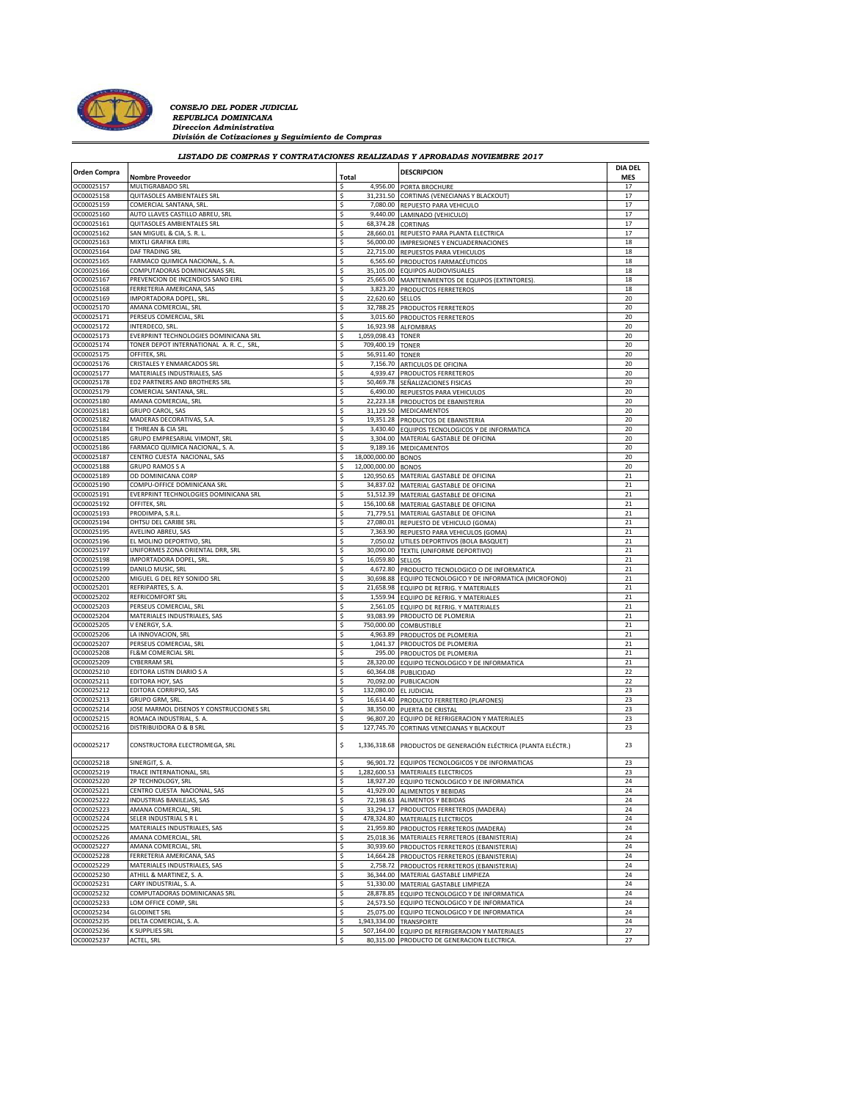

## *CONSEJO DEL PODER JUDICIAL*<br> *REPUBLICA DOMINICANA*<br> *Direccion Administrativa*<br> *División de Cotizaciones y Seguimiento de Compras*

| <b>DESCRIPCION</b><br>Orden Compra<br>Total<br><b>Nombre Proveedor</b><br>OC00025157<br>\$<br>4,956.00 PORTA BROCHURE<br>MULTIGRABADO SRL<br>QUITASOLES AMBIENTALES SRL<br>\$<br>31,231.50 CORTINAS (VENECIANAS Y BLACKOUT)<br>OC00025158<br>OC00025159<br>COMERCIAL SANTANA, SRL.<br>\$<br>7,080.00 REPUESTO PARA VEHICULO<br>OC00025160<br>AUTO LLAVES CASTILLO ABREU, SRL<br>9,440.00 LAMINADO (VEHICULO)<br>\$<br>\$<br>OC00025161<br>QUITASOLES AMBIENTALES SRL<br>68,374.28 CORTINAS<br>OC00025162<br>SAN MIGUEL & CIA, S. R. L.<br>28,660.01 REPUESTO PARA PLANTA ELECTRICA<br>\$<br>OC00025163<br>MIXTLI GRAFIKA EIRL<br>56,000.00 IMPRESIONES Y ENCUADERNACIONES<br>Ś<br>OC00025164<br>DAF TRADING SRL<br>22,715.00 REPUESTOS PARA VEHICULOS<br>OC00025165<br>FARMACO QUIMICA NACIONAL, S. A.<br>\$<br>6,565.60 PRODUCTOS FARMACÉUTICOS<br>OC00025166<br>COMPUTADORAS DOMINICANAS SRL<br>\$<br>35,105.00 EQUIPOS AUDIOVISUALES<br>OC00025167<br>PREVENCION DE INCENDIOS SANO EIRL<br>Ś<br>25,665.00 MANTENIMIENTOS DE EQUIPOS (EXTINTORES).<br>OC00025168<br>FERRETERIA AMERICANA, SAS<br>3,823.20 PRODUCTOS FERRETEROS<br>OC00025169<br>IMPORTADORA DOPEL, SRL<br>\$<br>22,620.60 SELLOS<br>AMANA COMERCIAL, SRL<br>OC00025170<br>\$<br>32,788.25 PRODUCTOS FERRETEROS<br>OC00025171<br>PERSEUS COMERCIAL, SRL<br>\$<br>3,015.60 PRODUCTOS FERRETEROS<br>OC00025172<br>INTERDECO, SRL<br>\$<br>16,923.98 ALFOMBRAS<br>OC00025173<br>EVERPRINT TECHNOLOGIES DOMINICANA SRL<br>\$<br>1,059,098.43 TONER<br>OC00025174<br>TONER DEPOT INTERNATIONAL A. R. C., SRL<br>\$<br>709,400.19 TONER<br>OC00025175<br>OFFITEK, SRL<br>56,911.40 TONER<br>\$<br>OC00025176<br>CRISTALES Y ENMARCADOS SRL<br>Ś<br>7,156.70 ARTICULOS DE OFICINA<br>OC00025177<br>MATERIALES INDUSTRIALES, SAS<br>\$<br>4,939.47 PRODUCTOS FERRETEROS<br>ED2 PARTNERS AND BROTHERS SRL<br>\$<br>OC00025178<br>50,469.78 SEÑALIZACIONES FISICAS | <b>DIA DEL</b><br><b>MES</b><br>17<br>17<br>17<br>17<br>17<br>17<br>18<br>18<br>18<br>18<br>18<br>18<br>20<br>20<br>20<br>20<br>20<br>20 |
|---------------------------------------------------------------------------------------------------------------------------------------------------------------------------------------------------------------------------------------------------------------------------------------------------------------------------------------------------------------------------------------------------------------------------------------------------------------------------------------------------------------------------------------------------------------------------------------------------------------------------------------------------------------------------------------------------------------------------------------------------------------------------------------------------------------------------------------------------------------------------------------------------------------------------------------------------------------------------------------------------------------------------------------------------------------------------------------------------------------------------------------------------------------------------------------------------------------------------------------------------------------------------------------------------------------------------------------------------------------------------------------------------------------------------------------------------------------------------------------------------------------------------------------------------------------------------------------------------------------------------------------------------------------------------------------------------------------------------------------------------------------------------------------------------------------------------------------------------------------------------------------------------------------------------|------------------------------------------------------------------------------------------------------------------------------------------|
|                                                                                                                                                                                                                                                                                                                                                                                                                                                                                                                                                                                                                                                                                                                                                                                                                                                                                                                                                                                                                                                                                                                                                                                                                                                                                                                                                                                                                                                                                                                                                                                                                                                                                                                                                                                                                                                                                                                           |                                                                                                                                          |
|                                                                                                                                                                                                                                                                                                                                                                                                                                                                                                                                                                                                                                                                                                                                                                                                                                                                                                                                                                                                                                                                                                                                                                                                                                                                                                                                                                                                                                                                                                                                                                                                                                                                                                                                                                                                                                                                                                                           |                                                                                                                                          |
|                                                                                                                                                                                                                                                                                                                                                                                                                                                                                                                                                                                                                                                                                                                                                                                                                                                                                                                                                                                                                                                                                                                                                                                                                                                                                                                                                                                                                                                                                                                                                                                                                                                                                                                                                                                                                                                                                                                           |                                                                                                                                          |
|                                                                                                                                                                                                                                                                                                                                                                                                                                                                                                                                                                                                                                                                                                                                                                                                                                                                                                                                                                                                                                                                                                                                                                                                                                                                                                                                                                                                                                                                                                                                                                                                                                                                                                                                                                                                                                                                                                                           |                                                                                                                                          |
|                                                                                                                                                                                                                                                                                                                                                                                                                                                                                                                                                                                                                                                                                                                                                                                                                                                                                                                                                                                                                                                                                                                                                                                                                                                                                                                                                                                                                                                                                                                                                                                                                                                                                                                                                                                                                                                                                                                           |                                                                                                                                          |
|                                                                                                                                                                                                                                                                                                                                                                                                                                                                                                                                                                                                                                                                                                                                                                                                                                                                                                                                                                                                                                                                                                                                                                                                                                                                                                                                                                                                                                                                                                                                                                                                                                                                                                                                                                                                                                                                                                                           |                                                                                                                                          |
|                                                                                                                                                                                                                                                                                                                                                                                                                                                                                                                                                                                                                                                                                                                                                                                                                                                                                                                                                                                                                                                                                                                                                                                                                                                                                                                                                                                                                                                                                                                                                                                                                                                                                                                                                                                                                                                                                                                           |                                                                                                                                          |
|                                                                                                                                                                                                                                                                                                                                                                                                                                                                                                                                                                                                                                                                                                                                                                                                                                                                                                                                                                                                                                                                                                                                                                                                                                                                                                                                                                                                                                                                                                                                                                                                                                                                                                                                                                                                                                                                                                                           |                                                                                                                                          |
|                                                                                                                                                                                                                                                                                                                                                                                                                                                                                                                                                                                                                                                                                                                                                                                                                                                                                                                                                                                                                                                                                                                                                                                                                                                                                                                                                                                                                                                                                                                                                                                                                                                                                                                                                                                                                                                                                                                           |                                                                                                                                          |
|                                                                                                                                                                                                                                                                                                                                                                                                                                                                                                                                                                                                                                                                                                                                                                                                                                                                                                                                                                                                                                                                                                                                                                                                                                                                                                                                                                                                                                                                                                                                                                                                                                                                                                                                                                                                                                                                                                                           |                                                                                                                                          |
|                                                                                                                                                                                                                                                                                                                                                                                                                                                                                                                                                                                                                                                                                                                                                                                                                                                                                                                                                                                                                                                                                                                                                                                                                                                                                                                                                                                                                                                                                                                                                                                                                                                                                                                                                                                                                                                                                                                           |                                                                                                                                          |
|                                                                                                                                                                                                                                                                                                                                                                                                                                                                                                                                                                                                                                                                                                                                                                                                                                                                                                                                                                                                                                                                                                                                                                                                                                                                                                                                                                                                                                                                                                                                                                                                                                                                                                                                                                                                                                                                                                                           |                                                                                                                                          |
|                                                                                                                                                                                                                                                                                                                                                                                                                                                                                                                                                                                                                                                                                                                                                                                                                                                                                                                                                                                                                                                                                                                                                                                                                                                                                                                                                                                                                                                                                                                                                                                                                                                                                                                                                                                                                                                                                                                           |                                                                                                                                          |
|                                                                                                                                                                                                                                                                                                                                                                                                                                                                                                                                                                                                                                                                                                                                                                                                                                                                                                                                                                                                                                                                                                                                                                                                                                                                                                                                                                                                                                                                                                                                                                                                                                                                                                                                                                                                                                                                                                                           |                                                                                                                                          |
|                                                                                                                                                                                                                                                                                                                                                                                                                                                                                                                                                                                                                                                                                                                                                                                                                                                                                                                                                                                                                                                                                                                                                                                                                                                                                                                                                                                                                                                                                                                                                                                                                                                                                                                                                                                                                                                                                                                           |                                                                                                                                          |
|                                                                                                                                                                                                                                                                                                                                                                                                                                                                                                                                                                                                                                                                                                                                                                                                                                                                                                                                                                                                                                                                                                                                                                                                                                                                                                                                                                                                                                                                                                                                                                                                                                                                                                                                                                                                                                                                                                                           |                                                                                                                                          |
|                                                                                                                                                                                                                                                                                                                                                                                                                                                                                                                                                                                                                                                                                                                                                                                                                                                                                                                                                                                                                                                                                                                                                                                                                                                                                                                                                                                                                                                                                                                                                                                                                                                                                                                                                                                                                                                                                                                           |                                                                                                                                          |
|                                                                                                                                                                                                                                                                                                                                                                                                                                                                                                                                                                                                                                                                                                                                                                                                                                                                                                                                                                                                                                                                                                                                                                                                                                                                                                                                                                                                                                                                                                                                                                                                                                                                                                                                                                                                                                                                                                                           |                                                                                                                                          |
|                                                                                                                                                                                                                                                                                                                                                                                                                                                                                                                                                                                                                                                                                                                                                                                                                                                                                                                                                                                                                                                                                                                                                                                                                                                                                                                                                                                                                                                                                                                                                                                                                                                                                                                                                                                                                                                                                                                           |                                                                                                                                          |
|                                                                                                                                                                                                                                                                                                                                                                                                                                                                                                                                                                                                                                                                                                                                                                                                                                                                                                                                                                                                                                                                                                                                                                                                                                                                                                                                                                                                                                                                                                                                                                                                                                                                                                                                                                                                                                                                                                                           | 20                                                                                                                                       |
|                                                                                                                                                                                                                                                                                                                                                                                                                                                                                                                                                                                                                                                                                                                                                                                                                                                                                                                                                                                                                                                                                                                                                                                                                                                                                                                                                                                                                                                                                                                                                                                                                                                                                                                                                                                                                                                                                                                           | 20                                                                                                                                       |
|                                                                                                                                                                                                                                                                                                                                                                                                                                                                                                                                                                                                                                                                                                                                                                                                                                                                                                                                                                                                                                                                                                                                                                                                                                                                                                                                                                                                                                                                                                                                                                                                                                                                                                                                                                                                                                                                                                                           | 20                                                                                                                                       |
|                                                                                                                                                                                                                                                                                                                                                                                                                                                                                                                                                                                                                                                                                                                                                                                                                                                                                                                                                                                                                                                                                                                                                                                                                                                                                                                                                                                                                                                                                                                                                                                                                                                                                                                                                                                                                                                                                                                           | 20                                                                                                                                       |
| \$<br>OC00025179<br>COMERCIAL SANTANA, SRL.<br>6,490.00 REPUESTOS PARA VEHICULOS                                                                                                                                                                                                                                                                                                                                                                                                                                                                                                                                                                                                                                                                                                                                                                                                                                                                                                                                                                                                                                                                                                                                                                                                                                                                                                                                                                                                                                                                                                                                                                                                                                                                                                                                                                                                                                          | 20                                                                                                                                       |
| OC00025180<br>\$<br>AMANA COMERCIAL, SRL<br>22,223.18 PRODUCTOS DE EBANISTERIA                                                                                                                                                                                                                                                                                                                                                                                                                                                                                                                                                                                                                                                                                                                                                                                                                                                                                                                                                                                                                                                                                                                                                                                                                                                                                                                                                                                                                                                                                                                                                                                                                                                                                                                                                                                                                                            | 20                                                                                                                                       |
| OC00025181<br><b>GRUPO CAROL, SAS</b><br>\$<br>31,129.50 MEDICAMENTOS                                                                                                                                                                                                                                                                                                                                                                                                                                                                                                                                                                                                                                                                                                                                                                                                                                                                                                                                                                                                                                                                                                                                                                                                                                                                                                                                                                                                                                                                                                                                                                                                                                                                                                                                                                                                                                                     | 20                                                                                                                                       |
| \$<br>OC00025182<br>MADERAS DECORATIVAS, S.A.<br>19,351.28 PRODUCTOS DE EBANISTERIA                                                                                                                                                                                                                                                                                                                                                                                                                                                                                                                                                                                                                                                                                                                                                                                                                                                                                                                                                                                                                                                                                                                                                                                                                                                                                                                                                                                                                                                                                                                                                                                                                                                                                                                                                                                                                                       | 20                                                                                                                                       |
| OC00025184<br>E THREAN & CIA SRL<br>\$<br>3,430.40 EQUIPOS TECNOLOGICOS Y DE INFORMATICA                                                                                                                                                                                                                                                                                                                                                                                                                                                                                                                                                                                                                                                                                                                                                                                                                                                                                                                                                                                                                                                                                                                                                                                                                                                                                                                                                                                                                                                                                                                                                                                                                                                                                                                                                                                                                                  | 20                                                                                                                                       |
| GRUPO EMPRESARIAL VIMONT, SRL<br>3,304.00 MATERIAL GASTABLE DE OFICINA<br>OC00025185<br>\$                                                                                                                                                                                                                                                                                                                                                                                                                                                                                                                                                                                                                                                                                                                                                                                                                                                                                                                                                                                                                                                                                                                                                                                                                                                                                                                                                                                                                                                                                                                                                                                                                                                                                                                                                                                                                                | 20                                                                                                                                       |
| OC00025186<br>FARMACO QUIMICA NACIONAL, S. A<br>\$<br>9,189.16 MEDICAMENTOS                                                                                                                                                                                                                                                                                                                                                                                                                                                                                                                                                                                                                                                                                                                                                                                                                                                                                                                                                                                                                                                                                                                                                                                                                                                                                                                                                                                                                                                                                                                                                                                                                                                                                                                                                                                                                                               | 20                                                                                                                                       |
| $\ddot{\mathsf{S}}$<br>18,000,000.00 BONOS<br>OC00025187<br>CENTRO CUESTA NACIONAL, SAS                                                                                                                                                                                                                                                                                                                                                                                                                                                                                                                                                                                                                                                                                                                                                                                                                                                                                                                                                                                                                                                                                                                                                                                                                                                                                                                                                                                                                                                                                                                                                                                                                                                                                                                                                                                                                                   | 20                                                                                                                                       |
| OC00025188<br><b>GRUPO RAMOS S A</b><br>\$<br>12,000,000.00 BONOS                                                                                                                                                                                                                                                                                                                                                                                                                                                                                                                                                                                                                                                                                                                                                                                                                                                                                                                                                                                                                                                                                                                                                                                                                                                                                                                                                                                                                                                                                                                                                                                                                                                                                                                                                                                                                                                         | 20                                                                                                                                       |
| OC00025189<br>OD DOMINICANA CORP<br>\$<br>120,950.65 MATERIAL GASTABLE DE OFICINA                                                                                                                                                                                                                                                                                                                                                                                                                                                                                                                                                                                                                                                                                                                                                                                                                                                                                                                                                                                                                                                                                                                                                                                                                                                                                                                                                                                                                                                                                                                                                                                                                                                                                                                                                                                                                                         | 21                                                                                                                                       |
| OC00025190<br>COMPU-OFFICE DOMINICANA SRL<br>\$<br>34,837.02 MATERIAL GASTABLE DE OFICINA                                                                                                                                                                                                                                                                                                                                                                                                                                                                                                                                                                                                                                                                                                                                                                                                                                                                                                                                                                                                                                                                                                                                                                                                                                                                                                                                                                                                                                                                                                                                                                                                                                                                                                                                                                                                                                 | 21                                                                                                                                       |
| \$<br>OC00025191<br>EVERPRINT TECHNOLOGIES DOMINICANA SRL<br>51,512.39 MATERIAL GASTABLE DE OFICINA<br>OC00025192<br>OFFITEK, SRL                                                                                                                                                                                                                                                                                                                                                                                                                                                                                                                                                                                                                                                                                                                                                                                                                                                                                                                                                                                                                                                                                                                                                                                                                                                                                                                                                                                                                                                                                                                                                                                                                                                                                                                                                                                         | 21                                                                                                                                       |
| \$<br>156,100.68 MATERIAL GASTABLE DE OFICINA<br>Ś                                                                                                                                                                                                                                                                                                                                                                                                                                                                                                                                                                                                                                                                                                                                                                                                                                                                                                                                                                                                                                                                                                                                                                                                                                                                                                                                                                                                                                                                                                                                                                                                                                                                                                                                                                                                                                                                        | 21<br>21                                                                                                                                 |
| OC00025193<br>PRODIMPA, S.R.L.<br>71,779.51 MATERIAL GASTABLE DE OFICINA<br>OC00025194                                                                                                                                                                                                                                                                                                                                                                                                                                                                                                                                                                                                                                                                                                                                                                                                                                                                                                                                                                                                                                                                                                                                                                                                                                                                                                                                                                                                                                                                                                                                                                                                                                                                                                                                                                                                                                    | 21                                                                                                                                       |
| OHTSU DEL CARIBE SRL<br>27,080.01 REPUESTO DE VEHICULO (GOMA)<br>OC00025195<br>AVELINO ABREU, SAS<br>\$<br>7,363.90 REPUESTO PARA VEHICULOS (GOMA)                                                                                                                                                                                                                                                                                                                                                                                                                                                                                                                                                                                                                                                                                                                                                                                                                                                                                                                                                                                                                                                                                                                                                                                                                                                                                                                                                                                                                                                                                                                                                                                                                                                                                                                                                                        | 21                                                                                                                                       |
| OC00025196<br>EL MOLINO DEPORTIVO, SRL<br>\$<br>7,050.02 UTILES DEPORTIVOS (BOLA BASQUET)                                                                                                                                                                                                                                                                                                                                                                                                                                                                                                                                                                                                                                                                                                                                                                                                                                                                                                                                                                                                                                                                                                                                                                                                                                                                                                                                                                                                                                                                                                                                                                                                                                                                                                                                                                                                                                 | 21                                                                                                                                       |
| OC00025197<br>UNIFORMES ZONA ORIENTAL DRR, SRL<br>\$<br>30,090.00 TEXTIL (UNIFORME DEPORTIVO)                                                                                                                                                                                                                                                                                                                                                                                                                                                                                                                                                                                                                                                                                                                                                                                                                                                                                                                                                                                                                                                                                                                                                                                                                                                                                                                                                                                                                                                                                                                                                                                                                                                                                                                                                                                                                             | 21                                                                                                                                       |
| OC00025198<br>IMPORTADORA DOPEL, SRL.<br>\$<br>16,059.80 SELLOS                                                                                                                                                                                                                                                                                                                                                                                                                                                                                                                                                                                                                                                                                                                                                                                                                                                                                                                                                                                                                                                                                                                                                                                                                                                                                                                                                                                                                                                                                                                                                                                                                                                                                                                                                                                                                                                           | 21                                                                                                                                       |
| OC00025199<br>\$<br>DANILO MUSIC, SRL<br>4,672.80 PRODUCTO TECNOLOGICO O DE INFORMATICA                                                                                                                                                                                                                                                                                                                                                                                                                                                                                                                                                                                                                                                                                                                                                                                                                                                                                                                                                                                                                                                                                                                                                                                                                                                                                                                                                                                                                                                                                                                                                                                                                                                                                                                                                                                                                                   | 21                                                                                                                                       |
| OC00025200<br>MIGUEL G DEL REY SONIDO SRL<br>\$<br>30,698.88 EQUIPO TECNOLOGICO Y DE INFORMATICA (MICROFONO)                                                                                                                                                                                                                                                                                                                                                                                                                                                                                                                                                                                                                                                                                                                                                                                                                                                                                                                                                                                                                                                                                                                                                                                                                                                                                                                                                                                                                                                                                                                                                                                                                                                                                                                                                                                                              | 21                                                                                                                                       |
| OC00025201<br>REFRIPARTES, S. A.<br>21,658.98 EQUIPO DE REFRIG. Y MATERIALES<br>\$                                                                                                                                                                                                                                                                                                                                                                                                                                                                                                                                                                                                                                                                                                                                                                                                                                                                                                                                                                                                                                                                                                                                                                                                                                                                                                                                                                                                                                                                                                                                                                                                                                                                                                                                                                                                                                        | 21                                                                                                                                       |
| OC00025202<br>REFRICOMFORT SRL<br>Ś<br>1,559.94 EQUIPO DE REFRIG. Y MATERIALES                                                                                                                                                                                                                                                                                                                                                                                                                                                                                                                                                                                                                                                                                                                                                                                                                                                                                                                                                                                                                                                                                                                                                                                                                                                                                                                                                                                                                                                                                                                                                                                                                                                                                                                                                                                                                                            | 21                                                                                                                                       |
| OC00025203<br>PERSEUS COMERCIAL, SRL<br>\$<br>2,561.05 EQUIPO DE REFRIG. Y MATERIALES                                                                                                                                                                                                                                                                                                                                                                                                                                                                                                                                                                                                                                                                                                                                                                                                                                                                                                                                                                                                                                                                                                                                                                                                                                                                                                                                                                                                                                                                                                                                                                                                                                                                                                                                                                                                                                     | 21                                                                                                                                       |
| OC00025204<br>MATERIALES INDUSTRIALES, SAS<br>\$<br>93,083.99 PRODUCTO DE PLOMERIA                                                                                                                                                                                                                                                                                                                                                                                                                                                                                                                                                                                                                                                                                                                                                                                                                                                                                                                                                                                                                                                                                                                                                                                                                                                                                                                                                                                                                                                                                                                                                                                                                                                                                                                                                                                                                                        | 21                                                                                                                                       |
| OC00025205<br>V ENERGY, S.A.<br>750,000.00 COMBUSTIBLE<br>\$                                                                                                                                                                                                                                                                                                                                                                                                                                                                                                                                                                                                                                                                                                                                                                                                                                                                                                                                                                                                                                                                                                                                                                                                                                                                                                                                                                                                                                                                                                                                                                                                                                                                                                                                                                                                                                                              | 21                                                                                                                                       |
| OC00025206<br>LA INNOVACION, SRL<br>\$<br>4,963.89 PRODUCTOS DE PLOMERIA                                                                                                                                                                                                                                                                                                                                                                                                                                                                                                                                                                                                                                                                                                                                                                                                                                                                                                                                                                                                                                                                                                                                                                                                                                                                                                                                                                                                                                                                                                                                                                                                                                                                                                                                                                                                                                                  | 21                                                                                                                                       |
| OC00025207<br>\$<br>PERSEUS COMERCIAL, SRL<br>1,041.37 PRODUCTOS DE PLOMERIA                                                                                                                                                                                                                                                                                                                                                                                                                                                                                                                                                                                                                                                                                                                                                                                                                                                                                                                                                                                                                                                                                                                                                                                                                                                                                                                                                                                                                                                                                                                                                                                                                                                                                                                                                                                                                                              | 21                                                                                                                                       |
| \$<br>OC00025208<br>FL&M COMERCIAL SRL<br>295.00 PRODUCTOS DE PLOMERIA                                                                                                                                                                                                                                                                                                                                                                                                                                                                                                                                                                                                                                                                                                                                                                                                                                                                                                                                                                                                                                                                                                                                                                                                                                                                                                                                                                                                                                                                                                                                                                                                                                                                                                                                                                                                                                                    | 21                                                                                                                                       |
| OC00025209<br><b>CYBERRAM SRL</b><br>\$<br>28,320.00 EQUIPO TECNOLOGICO Y DE INFORMATICA                                                                                                                                                                                                                                                                                                                                                                                                                                                                                                                                                                                                                                                                                                                                                                                                                                                                                                                                                                                                                                                                                                                                                                                                                                                                                                                                                                                                                                                                                                                                                                                                                                                                                                                                                                                                                                  | 21                                                                                                                                       |
| EDITORA LISTIN DIARIO S A<br>\$<br>OC00025210<br>60,364.08 PUBLICIDAD                                                                                                                                                                                                                                                                                                                                                                                                                                                                                                                                                                                                                                                                                                                                                                                                                                                                                                                                                                                                                                                                                                                                                                                                                                                                                                                                                                                                                                                                                                                                                                                                                                                                                                                                                                                                                                                     | 22                                                                                                                                       |
| OC00025211<br>Ś<br>70,092.00 PUBLICACION<br>EDITORA HOY, SAS                                                                                                                                                                                                                                                                                                                                                                                                                                                                                                                                                                                                                                                                                                                                                                                                                                                                                                                                                                                                                                                                                                                                                                                                                                                                                                                                                                                                                                                                                                                                                                                                                                                                                                                                                                                                                                                              | 22                                                                                                                                       |
| \$<br>OC00025212<br>EDITORA CORRIPIO, SAS<br>132,080.00 EL JUDICIAL                                                                                                                                                                                                                                                                                                                                                                                                                                                                                                                                                                                                                                                                                                                                                                                                                                                                                                                                                                                                                                                                                                                                                                                                                                                                                                                                                                                                                                                                                                                                                                                                                                                                                                                                                                                                                                                       | 23                                                                                                                                       |
| OC00025213<br>GRUPO GRM, SRL.<br>\$<br>16,614.40 PRODUCTO FERRETERO (PLAFONES)                                                                                                                                                                                                                                                                                                                                                                                                                                                                                                                                                                                                                                                                                                                                                                                                                                                                                                                                                                                                                                                                                                                                                                                                                                                                                                                                                                                                                                                                                                                                                                                                                                                                                                                                                                                                                                            | 23                                                                                                                                       |
| OC00025214<br>JOSE MARMOL DISENOS Y CONSTRUCCIONES SRL<br>\$<br>38,350.00 PUERTA DE CRISTAL                                                                                                                                                                                                                                                                                                                                                                                                                                                                                                                                                                                                                                                                                                                                                                                                                                                                                                                                                                                                                                                                                                                                                                                                                                                                                                                                                                                                                                                                                                                                                                                                                                                                                                                                                                                                                               | 23                                                                                                                                       |
| OC00025215<br>ROMACA INDUSTRIAL, S. A<br>96,807.20 EQUIPO DE REFRIGERACION Y MATERIALES                                                                                                                                                                                                                                                                                                                                                                                                                                                                                                                                                                                                                                                                                                                                                                                                                                                                                                                                                                                                                                                                                                                                                                                                                                                                                                                                                                                                                                                                                                                                                                                                                                                                                                                                                                                                                                   | 23                                                                                                                                       |
| \$<br>OC00025216<br>DISTRIBUIDORA O & B SRL<br>127,745.70 CORTINAS VENECIANAS Y BLACKOUT                                                                                                                                                                                                                                                                                                                                                                                                                                                                                                                                                                                                                                                                                                                                                                                                                                                                                                                                                                                                                                                                                                                                                                                                                                                                                                                                                                                                                                                                                                                                                                                                                                                                                                                                                                                                                                  | 23                                                                                                                                       |
| \$<br>1,336,318.68 PRODUCTOS DE GENERACIÓN ELÉCTRICA (PLANTA ELÉCTR.)<br>OC00025217<br>CONSTRUCTORA ELECTROMEGA, SRL                                                                                                                                                                                                                                                                                                                                                                                                                                                                                                                                                                                                                                                                                                                                                                                                                                                                                                                                                                                                                                                                                                                                                                                                                                                                                                                                                                                                                                                                                                                                                                                                                                                                                                                                                                                                      | 23                                                                                                                                       |
| OC00025218<br>96,901.72 EQUIPOS TECNOLOGICOS Y DE INFORMATICAS<br>SINERGIT, S. A.<br>Ś                                                                                                                                                                                                                                                                                                                                                                                                                                                                                                                                                                                                                                                                                                                                                                                                                                                                                                                                                                                                                                                                                                                                                                                                                                                                                                                                                                                                                                                                                                                                                                                                                                                                                                                                                                                                                                    | 23                                                                                                                                       |
| TRACE INTERNATIONAL, SRL<br>OC00025219<br>\$<br>1,282,600.53 MATERIALES ELECTRICOS                                                                                                                                                                                                                                                                                                                                                                                                                                                                                                                                                                                                                                                                                                                                                                                                                                                                                                                                                                                                                                                                                                                                                                                                                                                                                                                                                                                                                                                                                                                                                                                                                                                                                                                                                                                                                                        | 23                                                                                                                                       |
| OC00025220<br>2P TECHNOLOGY, SRL<br>18,927.20 EQUIPO TECNOLOGICO Y DE INFORMATICA                                                                                                                                                                                                                                                                                                                                                                                                                                                                                                                                                                                                                                                                                                                                                                                                                                                                                                                                                                                                                                                                                                                                                                                                                                                                                                                                                                                                                                                                                                                                                                                                                                                                                                                                                                                                                                         | 24                                                                                                                                       |
| \$<br>OC00025221<br>CENTRO CUESTA NACIONAL, SAS<br>41,929.00 ALIMENTOS Y BEBIDAS                                                                                                                                                                                                                                                                                                                                                                                                                                                                                                                                                                                                                                                                                                                                                                                                                                                                                                                                                                                                                                                                                                                                                                                                                                                                                                                                                                                                                                                                                                                                                                                                                                                                                                                                                                                                                                          | 24                                                                                                                                       |
| \$<br>OC00025222<br>INDUSTRIAS BANILEJAS, SAS<br>72,198.63 ALIMENTOS Y BEBIDAS                                                                                                                                                                                                                                                                                                                                                                                                                                                                                                                                                                                                                                                                                                                                                                                                                                                                                                                                                                                                                                                                                                                                                                                                                                                                                                                                                                                                                                                                                                                                                                                                                                                                                                                                                                                                                                            | 24                                                                                                                                       |
| OC00025223<br>AMANA COMERCIAL, SRL<br>\$<br>33,294.17 PRODUCTOS FERRETEROS (MADERA)                                                                                                                                                                                                                                                                                                                                                                                                                                                                                                                                                                                                                                                                                                                                                                                                                                                                                                                                                                                                                                                                                                                                                                                                                                                                                                                                                                                                                                                                                                                                                                                                                                                                                                                                                                                                                                       | 24                                                                                                                                       |
| \$<br>OC00025224<br>SELER INDUSTRIAL S R L<br>478,324.80 MATERIALES ELECTRICOS                                                                                                                                                                                                                                                                                                                                                                                                                                                                                                                                                                                                                                                                                                                                                                                                                                                                                                                                                                                                                                                                                                                                                                                                                                                                                                                                                                                                                                                                                                                                                                                                                                                                                                                                                                                                                                            | 24                                                                                                                                       |
| \$<br>OC00025225<br>MATERIALES INDUSTRIALES, SAS<br>21,959.80 PRODUCTOS FERRETEROS (MADERA)                                                                                                                                                                                                                                                                                                                                                                                                                                                                                                                                                                                                                                                                                                                                                                                                                                                                                                                                                                                                                                                                                                                                                                                                                                                                                                                                                                                                                                                                                                                                                                                                                                                                                                                                                                                                                               | 24                                                                                                                                       |
| OC00025226<br>AMANA COMERCIAL, SRL<br>\$<br>25,018.36 MATERIALES FERRETEROS (EBANISTERIA)                                                                                                                                                                                                                                                                                                                                                                                                                                                                                                                                                                                                                                                                                                                                                                                                                                                                                                                                                                                                                                                                                                                                                                                                                                                                                                                                                                                                                                                                                                                                                                                                                                                                                                                                                                                                                                 | 24                                                                                                                                       |
| OC00025227<br>AMANA COMERCIAL, SRL<br>\$<br>30,939.60 PRODUCTOS FERRETEROS (EBANISTERIA)                                                                                                                                                                                                                                                                                                                                                                                                                                                                                                                                                                                                                                                                                                                                                                                                                                                                                                                                                                                                                                                                                                                                                                                                                                                                                                                                                                                                                                                                                                                                                                                                                                                                                                                                                                                                                                  | 24                                                                                                                                       |
| OC00025228<br>FERRETERIA AMERICANA, SAS<br>Ś<br>14,664.28<br>PRODUCTOS FERRETEROS (EBANISTERIA)                                                                                                                                                                                                                                                                                                                                                                                                                                                                                                                                                                                                                                                                                                                                                                                                                                                                                                                                                                                                                                                                                                                                                                                                                                                                                                                                                                                                                                                                                                                                                                                                                                                                                                                                                                                                                           | 24                                                                                                                                       |
| OC00025229<br>MATERIALES INDUSTRIALES, SAS<br>\$<br>2,758.72<br>PRODUCTOS FERRETEROS (EBANISTERIA)                                                                                                                                                                                                                                                                                                                                                                                                                                                                                                                                                                                                                                                                                                                                                                                                                                                                                                                                                                                                                                                                                                                                                                                                                                                                                                                                                                                                                                                                                                                                                                                                                                                                                                                                                                                                                        | 24                                                                                                                                       |
| OC00025230<br>ATHILL & MARTINEZ, S. A.<br>\$<br>36,344.00 MATERIAL GASTABLE LIMPIEZA                                                                                                                                                                                                                                                                                                                                                                                                                                                                                                                                                                                                                                                                                                                                                                                                                                                                                                                                                                                                                                                                                                                                                                                                                                                                                                                                                                                                                                                                                                                                                                                                                                                                                                                                                                                                                                      | 24                                                                                                                                       |
| OC00025231<br>CARY INDUSTRIAL, S. A.<br>51,330.00 MATERIAL GASTABLE LIMPIEZA<br>\$                                                                                                                                                                                                                                                                                                                                                                                                                                                                                                                                                                                                                                                                                                                                                                                                                                                                                                                                                                                                                                                                                                                                                                                                                                                                                                                                                                                                                                                                                                                                                                                                                                                                                                                                                                                                                                        | 24                                                                                                                                       |
| OC00025232<br>COMPUTADORAS DOMINICANAS SRL<br>28,878.85<br>EQUIPO TECNOLOGICO Y DE INFORMATICA                                                                                                                                                                                                                                                                                                                                                                                                                                                                                                                                                                                                                                                                                                                                                                                                                                                                                                                                                                                                                                                                                                                                                                                                                                                                                                                                                                                                                                                                                                                                                                                                                                                                                                                                                                                                                            | 24                                                                                                                                       |
| OC00025233<br>LOM OFFICE COMP, SRL<br>\$<br>24,573.50 EQUIPO TECNOLOGICO Y DE INFORMATICA                                                                                                                                                                                                                                                                                                                                                                                                                                                                                                                                                                                                                                                                                                                                                                                                                                                                                                                                                                                                                                                                                                                                                                                                                                                                                                                                                                                                                                                                                                                                                                                                                                                                                                                                                                                                                                 | 24                                                                                                                                       |
| OC00025234<br><b>GLODINET SRL</b><br>\$<br>25,075.00 EQUIPO TECNOLOGICO Y DE INFORMATICA                                                                                                                                                                                                                                                                                                                                                                                                                                                                                                                                                                                                                                                                                                                                                                                                                                                                                                                                                                                                                                                                                                                                                                                                                                                                                                                                                                                                                                                                                                                                                                                                                                                                                                                                                                                                                                  | 24                                                                                                                                       |
| OC00025235<br>DELTA COMERCIAL, S. A.<br>Ś<br>1,943,334.00 TRANSPORTE                                                                                                                                                                                                                                                                                                                                                                                                                                                                                                                                                                                                                                                                                                                                                                                                                                                                                                                                                                                                                                                                                                                                                                                                                                                                                                                                                                                                                                                                                                                                                                                                                                                                                                                                                                                                                                                      | 24                                                                                                                                       |
| Ś<br>OC00025236<br>K SUPPLIES SRL<br>507,164.00<br>EQUIPO DE REFRIGERACION Y MATERIALES                                                                                                                                                                                                                                                                                                                                                                                                                                                                                                                                                                                                                                                                                                                                                                                                                                                                                                                                                                                                                                                                                                                                                                                                                                                                                                                                                                                                                                                                                                                                                                                                                                                                                                                                                                                                                                   | 27                                                                                                                                       |
| OC00025237<br>ACTEL, SRL<br>\$<br>80,315.00 PRODUCTO DE GENERACION ELECTRICA                                                                                                                                                                                                                                                                                                                                                                                                                                                                                                                                                                                                                                                                                                                                                                                                                                                                                                                                                                                                                                                                                                                                                                                                                                                                                                                                                                                                                                                                                                                                                                                                                                                                                                                                                                                                                                              | 27                                                                                                                                       |